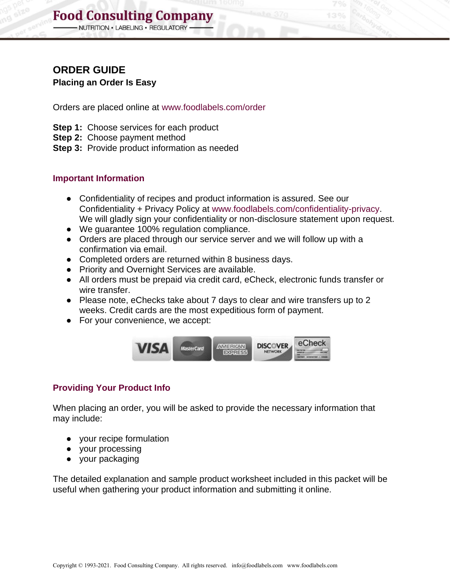## **Food Consulting Company**

NUTRITION . LABELING . REGULATORY

## **ORDER GUIDE**

**Placing an Order Is Easy**

Orders are placed online at www.foodlabels.com/order

- **Step 1:** Choose services for each product
- **Step 2:** Choose payment method
- **Step 3:** Provide product information as needed

### **Important Information**

- Confidentiality of recipes and product information is assured. See our Confidentiality + Privacy Policy at [www.foodlabels.com/confidentiality-privacy.](http://www.foodlabels.com/confidentiality-privacy) We will gladly sign your confidentiality or non-disclosure statement upon request.
- We guarantee 100% regulation compliance.
- Orders are placed through our service server and we will follow up with a confirmation via email.
- Completed orders are returned within 8 business days.
- Priority and Overnight Services are available.
- All orders must be prepaid via credit card, eCheck, electronic funds transfer or wire transfer.
- Please note, eChecks take about 7 days to clear and wire transfers up to 2 weeks. Credit cards are the most expeditious form of payment.
- For your convenience, we accept:



## **Providing Your Product Info**

When placing an order, you will be asked to provide the necessary information that may include:

- your recipe formulation
- your processing
- your packaging

The detailed explanation and sample product worksheet included in this packet will be useful when gathering your product information and submitting it online.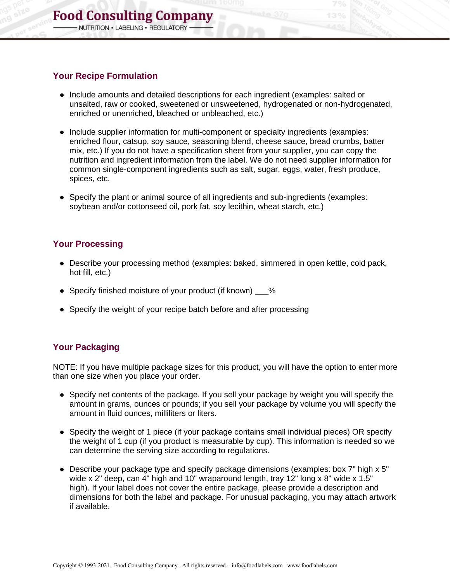#### **Your Recipe Formulation**

- Include amounts and detailed descriptions for each ingredient (examples: salted or unsalted, raw or cooked, sweetened or unsweetened, hydrogenated or non-hydrogenated, enriched or unenriched, bleached or unbleached, etc.)
- Include supplier information for multi-component or specialty ingredients (examples: enriched flour, catsup, soy sauce, seasoning blend, cheese sauce, bread crumbs, batter mix, etc.) If you do not have a specification sheet from your supplier, you can copy the nutrition and ingredient information from the label. We do not need supplier information for common single-component ingredients such as salt, sugar, eggs, water, fresh produce, spices, etc.
- Specify the plant or animal source of all ingredients and sub-ingredients (examples: soybean and/or cottonseed oil, pork fat, soy lecithin, wheat starch, etc.)

### **Your Processing**

- Describe your processing method (examples: baked, simmered in open kettle, cold pack, hot fill, etc.)
- Specify finished moisture of your product (if known) %
- Specify the weight of your recipe batch before and after processing

## **Your Packaging**

NOTE: If you have multiple package sizes for this product, you will have the option to enter more than one size when you place your order.

- Specify net contents of the package. If you sell your package by weight you will specify the amount in grams, ounces or pounds; if you sell your package by volume you will specify the amount in fluid ounces, milliliters or liters.
- Specify the weight of 1 piece (if your package contains small individual pieces) OR specify the weight of 1 cup (if you product is measurable by cup). This information is needed so we can determine the serving size according to regulations.
- Describe your package type and specify package dimensions (examples: box 7" high x 5" wide x 2" deep, can 4" high and 10" wraparound length, tray 12" long x 8" wide x 1.5" high). If your label does not cover the entire package, please provide a description and dimensions for both the label and package. For unusual packaging, you may attach artwork if available.